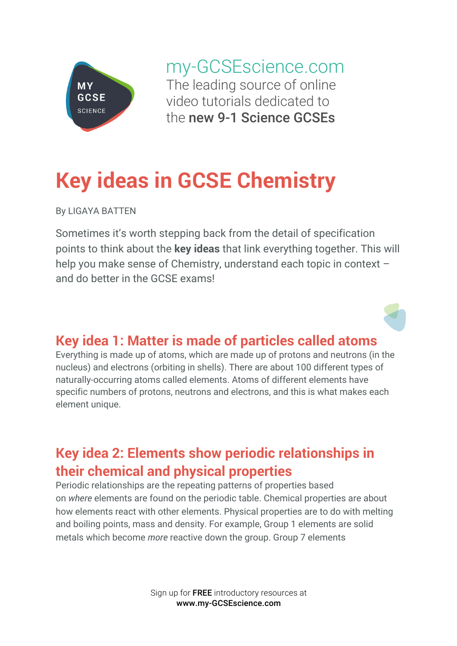

my-GCSEscience.com The leading source of online video tutorials dedicated to the new 9-1 Science GCSEs

# **Key ideas in GCSE Chemistry**

By LIGAYA BATTEN

Sometimes it's worth stepping back from the detail of specification points to think about the **key ideas** that link everything together. This will help you make sense of Chemistry, understand each topic in context and do better in the GCSE exams!

#### **Key idea 1: Matter is made of particles called atoms**

Everything is made up of atoms, which are made up of protons and neutrons (in the nucleus) and electrons (orbiting in shells). There are about 100 different types of naturally-occurring atoms called elements. Atoms of different elements have specific numbers of protons, neutrons and electrons, and this is what makes each element unique.

## **Key idea 2: Elements show periodic relationships in their chemical and physical properties**

Periodic relationships are the repeating patterns of properties based on *where* elements are found on the periodic table. Chemical properties are about how elements react with other elements. Physical properties are to do with melting and boiling points, mass and density. For example, Group 1 elements are solid metals which become *more* reactive down the group. Group 7 elements

> Sign up for FREE introductory resources at www.my-GCSEscience.com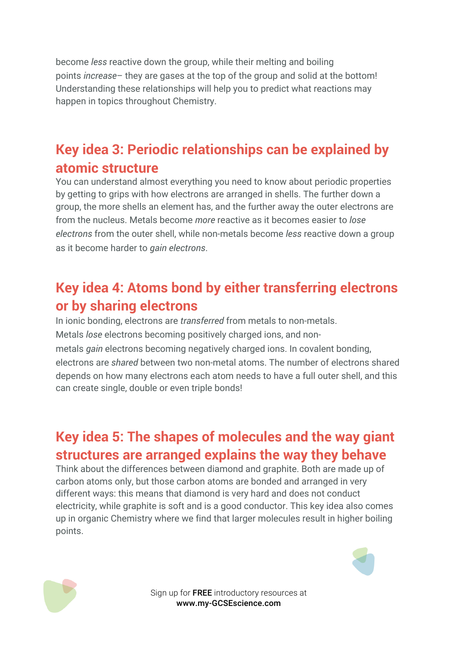become *less* reactive down the group, while their melting and boiling points *increase*– they are gases at the top of the group and solid at the bottom! Understanding these relationships will help you to predict what reactions may happen in topics throughout Chemistry.

#### **Key idea 3: Periodic relationships can be explained by atomic structure**

You can understand almost everything you need to know about periodic properties by getting to grips with how electrons are arranged in shells. The further down a group, the more shells an element has, and the further away the outer electrons are from the nucleus. Metals become *more* reactive as it becomes easier to *lose electrons* from the outer shell, while non-metals become *less* reactive down a group as it become harder to *gain electrons*.

### **Key idea 4: Atoms bond by either transferring electrons or by sharing electrons**

In ionic bonding, electrons are *transferred* from metals to non-metals. Metals *lose* electrons becoming positively charged ions, and nonmetals *gain* electrons becoming negatively charged ions. In covalent bonding, electrons are *shared* between two non-metal atoms. The number of electrons shared depends on how many electrons each atom needs to have a full outer shell, and this can create single, double or even triple bonds!

### **Key idea 5: The shapes of molecules and the way giant structures are arranged explains the way they behave**

Think about the differences between diamond and graphite. Both are made up of carbon atoms only, but those carbon atoms are bonded and arranged in very different ways: this means that diamond is very hard and does not conduct electricity, while graphite is soft and is a good conductor. This key idea also comes up in organic Chemistry where we find that larger molecules result in higher boiling points.





Sign up for FREE introductory resources at www.my-GCSEscience.com